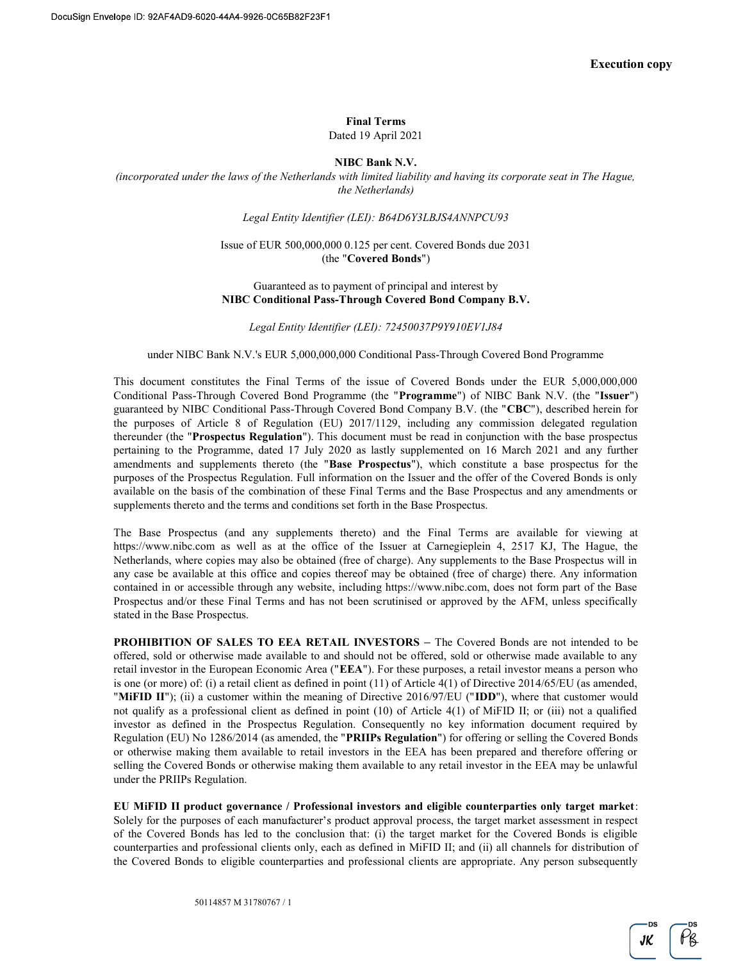# Final Terms

Dated 19 April 2021

### NIBC Bank N.V.

(incorporated under the laws of the Netherlands with limited liability and having its corporate seat in The Hague, the Netherlands)

Legal Entity Identifier (LEI): B64D6Y3LBJS4ANNPCU93

### Issue of EUR 500,000,000 0.125 per cent. Covered Bonds due 2031 (the "Covered Bonds")

### Guaranteed as to payment of principal and interest by NIBC Conditional Pass-Through Covered Bond Company B.V.

Legal Entity Identifier (LEI): 72450037P9Y910EV1J84

#### under NIBC Bank N.V.'s EUR 5,000,000,000 Conditional Pass-Through Covered Bond Programme

This document constitutes the Final Terms of the issue of Covered Bonds under the EUR 5,000,000,000 Conditional Pass-Through Covered Bond Programme (the "Programme") of NIBC Bank N.V. (the "Issuer") guaranteed by NIBC Conditional Pass-Through Covered Bond Company B.V. (the "CBC"), described herein for the purposes of Article 8 of Regulation (EU) 2017/1129, including any commission delegated regulation thereunder (the "Prospectus Regulation"). This document must be read in conjunction with the base prospectus pertaining to the Programme, dated 17 July 2020 as lastly supplemented on 16 March 2021 and any further amendments and supplements thereto (the "Base Prospectus"), which constitute a base prospectus for the purposes of the Prospectus Regulation. Full information on the Issuer and the offer of the Covered Bonds is only available on the basis of the combination of these Final Terms and the Base Prospectus and any amendments or supplements thereto and the terms and conditions set forth in the Base Prospectus.

The Base Prospectus (and any supplements thereto) and the Final Terms are available for viewing at https://www.nibc.com as well as at the office of the Issuer at Carnegieplein 4, 2517 KJ, The Hague, the Netherlands, where copies may also be obtained (free of charge). Any supplements to the Base Prospectus will in any case be available at this office and copies thereof may be obtained (free of charge) there. Any information contained in or accessible through any website, including https://www.nibc.com, does not form part of the Base Prospectus and/or these Final Terms and has not been scrutinised or approved by the AFM, unless specifically stated in the Base Prospectus.

PROHIBITION OF SALES TO EEA RETAIL INVESTORS - The Covered Bonds are not intended to be offered, sold or otherwise made available to and should not be offered, sold or otherwise made available to any retail investor in the European Economic Area ("EEA"). For these purposes, a retail investor means a person who is one (or more) of: (i) a retail client as defined in point (11) of Article 4(1) of Directive 2014/65/EU (as amended, "MiFID II"); (ii) a customer within the meaning of Directive 2016/97/EU ("IDD"), where that customer would not qualify as a professional client as defined in point (10) of Article 4(1) of MiFID II; or (iii) not a qualified investor as defined in the Prospectus Regulation. Consequently no key information document required by Regulation (EU) No 1286/2014 (as amended, the "PRIIPs Regulation") for offering or selling the Covered Bonds or otherwise making them available to retail investors in the EEA has been prepared and therefore offering or selling the Covered Bonds or otherwise making them available to any retail investor in the EEA may be unlawful under the PRIIPs Regulation.

EU MiFID II product governance / Professional investors and eligible counterparties only target market: Solely for the purposes of each manufacturer's product approval process, the target market assessment in respect of the Covered Bonds has led to the conclusion that: (i) the target market for the Covered Bonds is eligible counterparties and professional clients only, each as defined in MiFID II; and (ii) all channels for distribution of the Covered Bonds to eligible counterparties and professional clients are appropriate. Any person subsequently

 $\tilde{\rho_{8}}$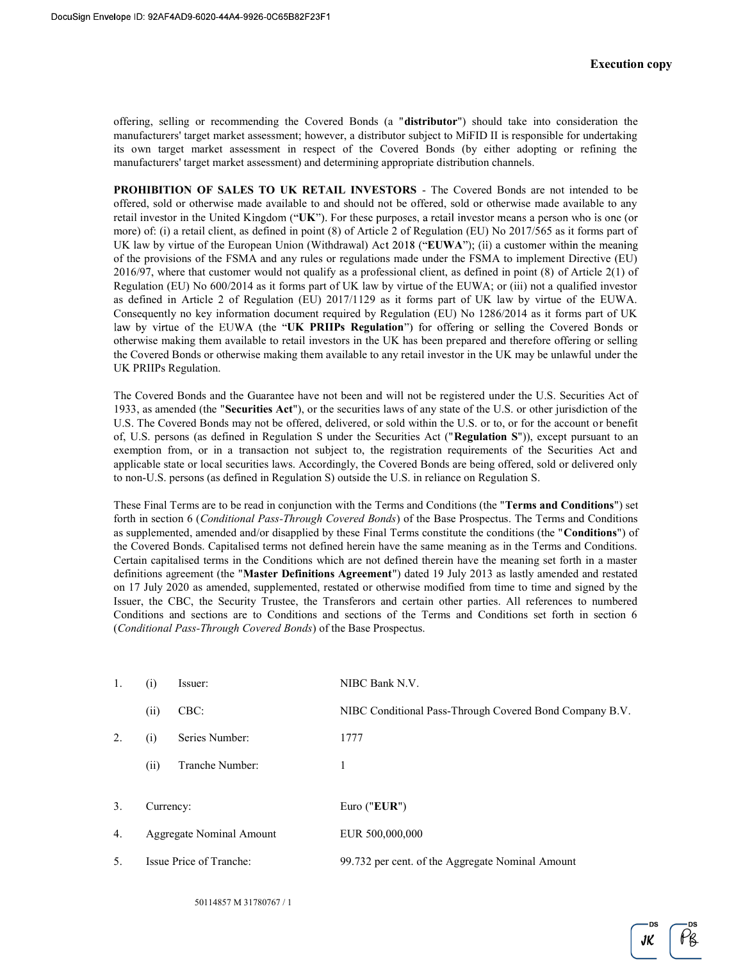offering, selling or recommending the Covered Bonds (a "distributor") should take into consideration the manufacturers' target market assessment; however, a distributor subject to MiFID II is responsible for undertaking its own target market assessment in respect of the Covered Bonds (by either adopting or refining the manufacturers' target market assessment) and determining appropriate distribution channels.

PROHIBITION OF SALES TO UK RETAIL INVESTORS - The Covered Bonds are not intended to be offered, sold or otherwise made available to and should not be offered, sold or otherwise made available to any retail investor in the United Kingdom (" $UK$ "). For these purposes, a retail investor means a person who is one (or more) of: (i) a retail client, as defined in point (8) of Article 2 of Regulation (EU) No 2017/565 as it forms part of UK law by virtue of the European Union (Withdrawal) Act  $2018$  ("EUWA"); (ii) a customer within the meaning of the provisions of the FSMA and any rules or regulations made under the FSMA to implement Directive (EU) 2016/97, where that customer would not qualify as a professional client, as defined in point (8) of Article 2(1) of Regulation (EU) No 600/2014 as it forms part of UK law by virtue of the EUWA; or (iii) not a qualified investor as defined in Article 2 of Regulation (EU) 2017/1129 as it forms part of UK law by virtue of the EUWA. Consequently no key information document required by Regulation (EU) No 1286/2014 as it forms part of UK law by virtue of the EUWA (the "UK PRIIPs Regulation") for offering or selling the Covered Bonds or otherwise making them available to retail investors in the UK has been prepared and therefore offering or selling the Covered Bonds or otherwise making them available to any retail investor in the UK may be unlawful under the UK PRIIPs Regulation.

The Covered Bonds and the Guarantee have not been and will not be registered under the U.S. Securities Act of 1933, as amended (the "Securities Act"), or the securities laws of any state of the U.S. or other jurisdiction of the U.S. The Covered Bonds may not be offered, delivered, or sold within the U.S. or to, or for the account or benefit of, U.S. persons (as defined in Regulation S under the Securities Act ("Regulation S")), except pursuant to an exemption from, or in a transaction not subject to, the registration requirements of the Securities Act and applicable state or local securities laws. Accordingly, the Covered Bonds are being offered, sold or delivered only to non-U.S. persons (as defined in Regulation S) outside the U.S. in reliance on Regulation S.

These Final Terms are to be read in conjunction with the Terms and Conditions (the "Terms and Conditions") set forth in section 6 (Conditional Pass-Through Covered Bonds) of the Base Prospectus. The Terms and Conditions as supplemented, amended and/or disapplied by these Final Terms constitute the conditions (the "Conditions") of the Covered Bonds. Capitalised terms not defined herein have the same meaning as in the Terms and Conditions. Certain capitalised terms in the Conditions which are not defined therein have the meaning set forth in a master definitions agreement (the "Master Definitions Agreement") dated 19 July 2013 as lastly amended and restated on 17 July 2020 as amended, supplemented, restated or otherwise modified from time to time and signed by the Issuer, the CBC, the Security Trustee, the Transferors and certain other parties. All references to numbered Conditions and sections are to Conditions and sections of the Terms and Conditions set forth in section 6 (Conditional Pass-Through Covered Bonds) of the Base Prospectus.

| 1.  | (i)       | Issuer:                  | NIBC Bank N.V.                                          |
|-----|-----------|--------------------------|---------------------------------------------------------|
|     | (ii)      | CBC:                     | NIBC Conditional Pass-Through Covered Bond Company B.V. |
| 2.  | (i)       | Series Number:           | 1777                                                    |
|     | (ii)      | Tranche Number:          | 1                                                       |
| 3.  | Currency: |                          | Euro ("EUR")                                            |
| 4.  |           | Aggregate Nominal Amount | EUR 500,000,000                                         |
| .5. |           | Issue Price of Tranche:  | 99.732 per cent. of the Aggregate Nominal Amount        |

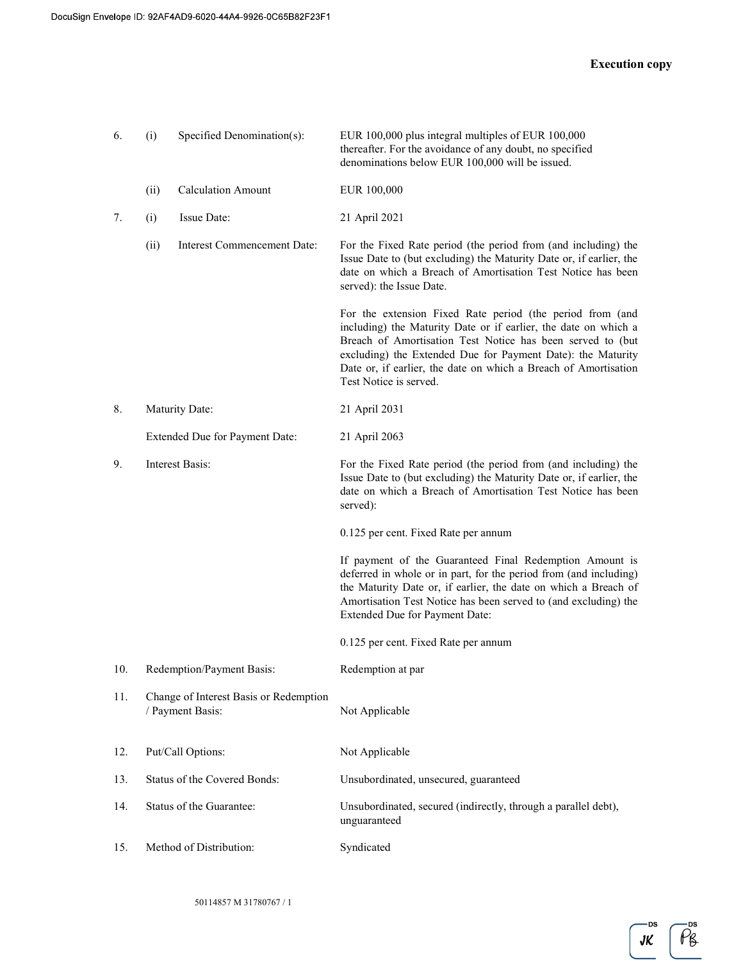| 6.  | (i)                                                        | Specified Denomination(s):     | EUR 100,000 plus integral multiples of EUR 100,000<br>thereafter. For the avoidance of any doubt, no specified<br>denominations below EUR 100,000 will be issued.                                                                                                                                                                                      |
|-----|------------------------------------------------------------|--------------------------------|--------------------------------------------------------------------------------------------------------------------------------------------------------------------------------------------------------------------------------------------------------------------------------------------------------------------------------------------------------|
|     | (ii)                                                       | <b>Calculation Amount</b>      | EUR 100,000                                                                                                                                                                                                                                                                                                                                            |
| 7.  | (i)                                                        | Issue Date:                    | 21 April 2021                                                                                                                                                                                                                                                                                                                                          |
|     | (ii)                                                       | Interest Commencement Date:    | For the Fixed Rate period (the period from (and including) the<br>Issue Date to (but excluding) the Maturity Date or, if earlier, the<br>date on which a Breach of Amortisation Test Notice has been<br>served): the Issue Date.                                                                                                                       |
|     |                                                            |                                | For the extension Fixed Rate period (the period from (and<br>including) the Maturity Date or if earlier, the date on which a<br>Breach of Amortisation Test Notice has been served to (but<br>excluding) the Extended Due for Payment Date): the Maturity<br>Date or, if earlier, the date on which a Breach of Amortisation<br>Test Notice is served. |
| 8.  |                                                            | Maturity Date:                 | 21 April 2031                                                                                                                                                                                                                                                                                                                                          |
|     |                                                            | Extended Due for Payment Date: | 21 April 2063                                                                                                                                                                                                                                                                                                                                          |
| 9.  | Interest Basis:                                            |                                | For the Fixed Rate period (the period from (and including) the<br>Issue Date to (but excluding) the Maturity Date or, if earlier, the<br>date on which a Breach of Amortisation Test Notice has been<br>served):                                                                                                                                       |
|     |                                                            |                                | 0.125 per cent. Fixed Rate per annum                                                                                                                                                                                                                                                                                                                   |
|     |                                                            |                                | If payment of the Guaranteed Final Redemption Amount is<br>deferred in whole or in part, for the period from (and including)<br>the Maturity Date or, if earlier, the date on which a Breach of<br>Amortisation Test Notice has been served to (and excluding) the<br>Extended Due for Payment Date:                                                   |
|     |                                                            |                                | 0.125 per cent. Fixed Rate per annum                                                                                                                                                                                                                                                                                                                   |
| 10. |                                                            | Redemption/Payment Basis:      | Redemption at par                                                                                                                                                                                                                                                                                                                                      |
| 11. | Change of Interest Basis or Redemption<br>/ Payment Basis: |                                | Not Applicable                                                                                                                                                                                                                                                                                                                                         |
| 12. |                                                            | Put/Call Options:              | Not Applicable                                                                                                                                                                                                                                                                                                                                         |
| 13. | Status of the Covered Bonds:                               |                                | Unsubordinated, unsecured, guaranteed                                                                                                                                                                                                                                                                                                                  |
| 14. | Status of the Guarantee:                                   |                                | Unsubordinated, secured (indirectly, through a parallel debt),<br>unguaranteed                                                                                                                                                                                                                                                                         |
| 15. |                                                            | Method of Distribution:        | Syndicated                                                                                                                                                                                                                                                                                                                                             |

DS  $\tilde{\rho_{8}}$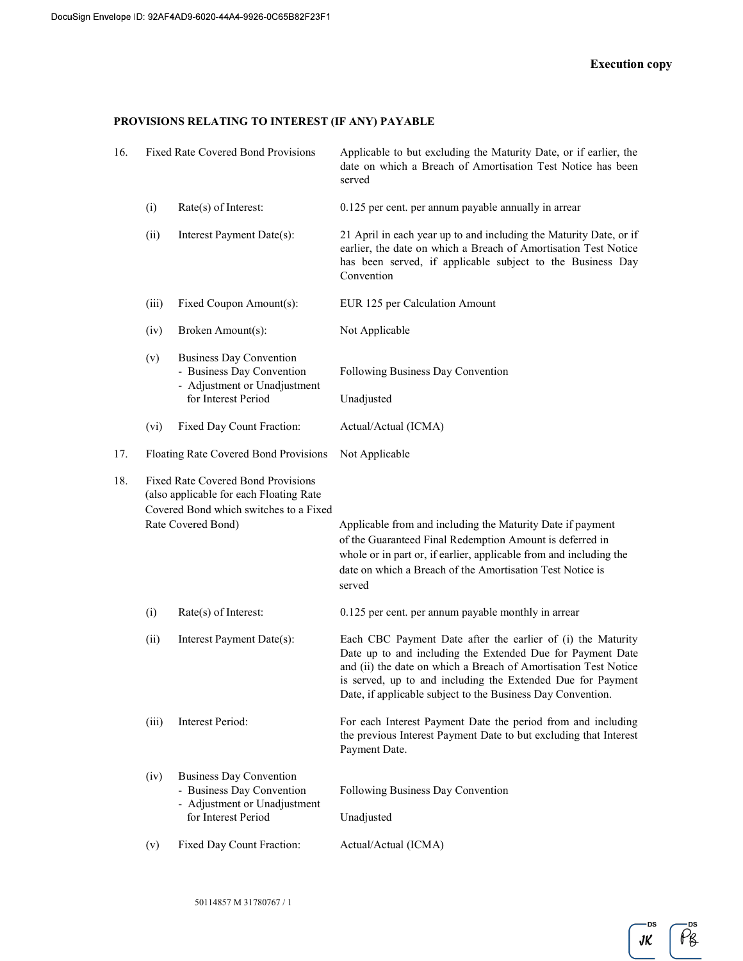#### PROVISIONS RELATING TO INTEREST (IF ANY) PAYABLE

| 16. | <b>Fixed Rate Covered Bond Provisions</b>                                                                                                            |                                                                                                                    | Applicable to but excluding the Maturity Date, or if earlier, the<br>date on which a Breach of Amortisation Test Notice has been<br>served                                                                                                                                                                                 |
|-----|------------------------------------------------------------------------------------------------------------------------------------------------------|--------------------------------------------------------------------------------------------------------------------|----------------------------------------------------------------------------------------------------------------------------------------------------------------------------------------------------------------------------------------------------------------------------------------------------------------------------|
|     | (i)                                                                                                                                                  | Rate(s) of Interest:                                                                                               | 0.125 per cent. per annum payable annually in arrear                                                                                                                                                                                                                                                                       |
|     | (ii)                                                                                                                                                 | Interest Payment Date(s):                                                                                          | 21 April in each year up to and including the Maturity Date, or if<br>earlier, the date on which a Breach of Amortisation Test Notice<br>has been served, if applicable subject to the Business Day<br>Convention                                                                                                          |
|     | (iii)                                                                                                                                                | Fixed Coupon Amount(s):                                                                                            | EUR 125 per Calculation Amount                                                                                                                                                                                                                                                                                             |
|     | (iv)                                                                                                                                                 | Broken Amount(s):                                                                                                  | Not Applicable                                                                                                                                                                                                                                                                                                             |
|     | (v)                                                                                                                                                  | <b>Business Day Convention</b><br>- Business Day Convention<br>- Adjustment or Unadjustment<br>for Interest Period | Following Business Day Convention<br>Unadjusted                                                                                                                                                                                                                                                                            |
|     | (vi)                                                                                                                                                 | Fixed Day Count Fraction:                                                                                          | Actual/Actual (ICMA)                                                                                                                                                                                                                                                                                                       |
| 17. | Floating Rate Covered Bond Provisions                                                                                                                |                                                                                                                    | Not Applicable                                                                                                                                                                                                                                                                                                             |
| 18. | <b>Fixed Rate Covered Bond Provisions</b><br>(also applicable for each Floating Rate<br>Covered Bond which switches to a Fixed<br>Rate Covered Bond) |                                                                                                                    | Applicable from and including the Maturity Date if payment<br>of the Guaranteed Final Redemption Amount is deferred in<br>whole or in part or, if earlier, applicable from and including the<br>date on which a Breach of the Amortisation Test Notice is<br>served                                                        |
|     | (i)                                                                                                                                                  | Rate(s) of Interest:                                                                                               | 0.125 per cent. per annum payable monthly in arrear                                                                                                                                                                                                                                                                        |
|     | (ii)                                                                                                                                                 | Interest Payment Date(s):                                                                                          | Each CBC Payment Date after the earlier of (i) the Maturity<br>Date up to and including the Extended Due for Payment Date<br>and (ii) the date on which a Breach of Amortisation Test Notice<br>is served, up to and including the Extended Due for Payment<br>Date, if applicable subject to the Business Day Convention. |
|     | (iii)                                                                                                                                                | <b>Interest Period:</b>                                                                                            | For each Interest Payment Date the period from and including<br>the previous Interest Payment Date to but excluding that Interest<br>Payment Date.                                                                                                                                                                         |
|     | (iv)                                                                                                                                                 | <b>Business Day Convention</b><br>- Business Day Convention<br>- Adjustment or Unadjustment<br>for Interest Period | Following Business Day Convention<br>Unadjusted                                                                                                                                                                                                                                                                            |
|     | (v)                                                                                                                                                  | Fixed Day Count Fraction:                                                                                          | Actual/Actual (ICMA)                                                                                                                                                                                                                                                                                                       |

**DS**  $JK$ 

 $\overline{\rho}$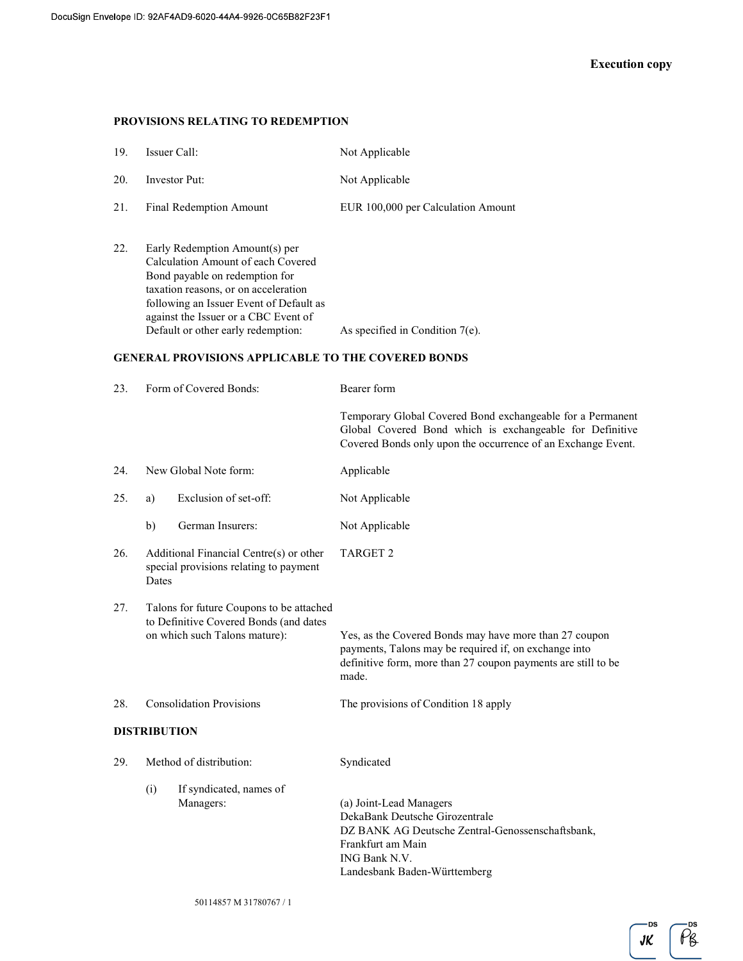## PROVISIONS RELATING TO REDEMPTION

| 19. | Issuer Call:                | Not Applicable                     |
|-----|-----------------------------|------------------------------------|
| 20. | Investor Put:               | Not Applicable                     |
|     | 21. Final Redemption Amount | EUR 100,000 per Calculation Amount |

22. Early Redemption Amount(s) per Calculation Amount of each Covered Bond payable on redemption for taxation reasons, or on acceleration following an Issuer Event of Default as against the Issuer or a CBC Event of Default or other early redemption: As specified in Condition 7(e).

# GENERAL PROVISIONS APPLICABLE TO THE COVERED BONDS

| 23. | Form of Covered Bonds:                                                                     |                                                                                                                     | Bearer form                                                                                                                                                                               |  |
|-----|--------------------------------------------------------------------------------------------|---------------------------------------------------------------------------------------------------------------------|-------------------------------------------------------------------------------------------------------------------------------------------------------------------------------------------|--|
|     |                                                                                            |                                                                                                                     | Temporary Global Covered Bond exchangeable for a Permanent<br>Global Covered Bond which is exchangeable for Definitive<br>Covered Bonds only upon the occurrence of an Exchange Event.    |  |
| 24. |                                                                                            | New Global Note form:                                                                                               | Applicable                                                                                                                                                                                |  |
| 25. | a)                                                                                         | Exclusion of set-off:                                                                                               | Not Applicable                                                                                                                                                                            |  |
|     | b)                                                                                         | German Insurers:                                                                                                    | Not Applicable                                                                                                                                                                            |  |
| 26. | Additional Financial Centre(s) or other<br>special provisions relating to payment<br>Dates |                                                                                                                     | <b>TARGET 2</b>                                                                                                                                                                           |  |
| 27. |                                                                                            | Talons for future Coupons to be attached<br>to Definitive Covered Bonds (and dates<br>on which such Talons mature): | Yes, as the Covered Bonds may have more than 27 coupon<br>payments, Talons may be required if, on exchange into<br>definitive form, more than 27 coupon payments are still to be<br>made. |  |
| 28. |                                                                                            | <b>Consolidation Provisions</b>                                                                                     | The provisions of Condition 18 apply                                                                                                                                                      |  |
|     | <b>DISTRIBUTION</b>                                                                        |                                                                                                                     |                                                                                                                                                                                           |  |
| 29. |                                                                                            | Method of distribution:                                                                                             | Syndicated                                                                                                                                                                                |  |
|     | (i)                                                                                        | If syndicated, names of<br>Managers:                                                                                | (a) Joint-Lead Managers<br>DekaBank Deutsche Girozentrale<br>DZ BANK AG Deutsche Zentral-Genossenschaftsbank,<br>Frankfurt am Main<br>ING Bank N.V.<br>Landesbank Baden-Württemberg       |  |

 $\tilde{\rho_{8}}$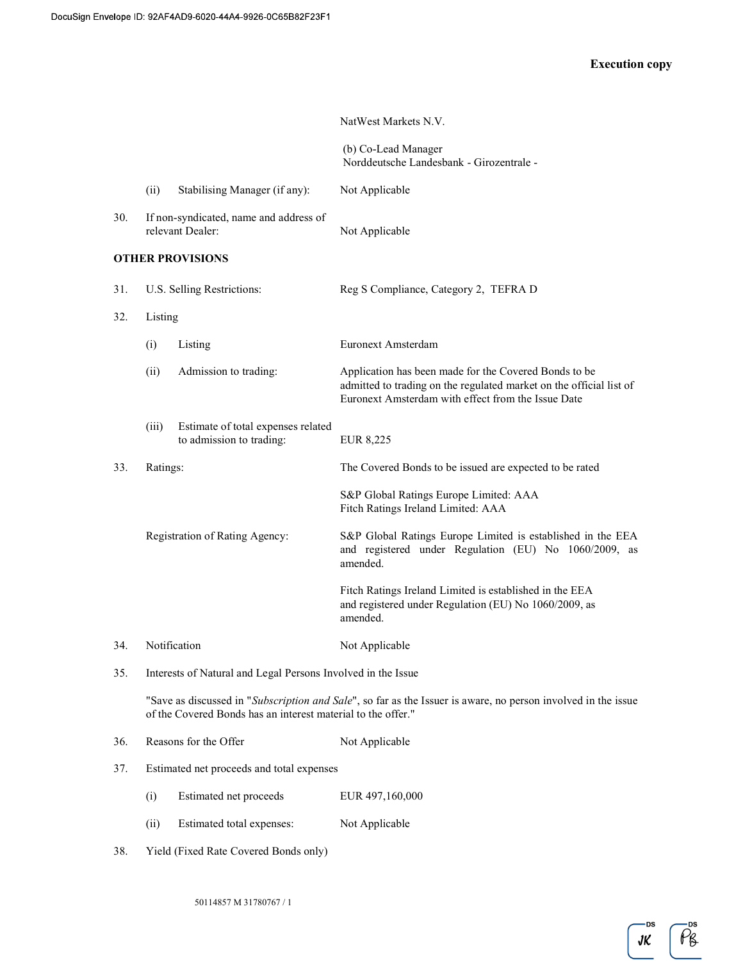|     |                                                              |                                                                | NatWest Markets N.V.                                                                                                                                                               |
|-----|--------------------------------------------------------------|----------------------------------------------------------------|------------------------------------------------------------------------------------------------------------------------------------------------------------------------------------|
|     |                                                              |                                                                | (b) Co-Lead Manager<br>Norddeutsche Landesbank - Girozentrale -                                                                                                                    |
|     | (ii)                                                         | Stabilising Manager (if any):                                  | Not Applicable                                                                                                                                                                     |
| 30. |                                                              | If non-syndicated, name and address of<br>relevant Dealer:     | Not Applicable                                                                                                                                                                     |
|     |                                                              | <b>OTHER PROVISIONS</b>                                        |                                                                                                                                                                                    |
| 31. |                                                              | U.S. Selling Restrictions:                                     | Reg S Compliance, Category 2, TEFRA D                                                                                                                                              |
| 32. | Listing                                                      |                                                                |                                                                                                                                                                                    |
|     | (i)                                                          | Listing                                                        | Euronext Amsterdam                                                                                                                                                                 |
|     | (ii)                                                         | Admission to trading:                                          | Application has been made for the Covered Bonds to be<br>admitted to trading on the regulated market on the official list of<br>Euronext Amsterdam with effect from the Issue Date |
|     | (iii)                                                        | Estimate of total expenses related<br>to admission to trading: | EUR 8,225                                                                                                                                                                          |
| 33. | Ratings:                                                     |                                                                | The Covered Bonds to be issued are expected to be rated                                                                                                                            |
|     |                                                              |                                                                | S&P Global Ratings Europe Limited: AAA<br>Fitch Ratings Ireland Limited: AAA                                                                                                       |
|     |                                                              | Registration of Rating Agency:                                 | S&P Global Ratings Europe Limited is established in the EEA<br>and registered under Regulation (EU) No 1060/2009, as<br>amended.                                                   |
|     |                                                              |                                                                | Fitch Ratings Ireland Limited is established in the EEA<br>and registered under Regulation (EU) No 1060/2009, as<br>amended.                                                       |
| 34. |                                                              | Notification                                                   | Not Applicable                                                                                                                                                                     |
| 35. | Interests of Natural and Legal Persons Involved in the Issue |                                                                |                                                                                                                                                                                    |
|     |                                                              | of the Covered Bonds has an interest material to the offer."   | "Save as discussed in "Subscription and Sale", so far as the Issuer is aware, no person involved in the issue                                                                      |
| 36. |                                                              | Reasons for the Offer                                          | Not Applicable                                                                                                                                                                     |
| 37. |                                                              | Estimated net proceeds and total expenses                      |                                                                                                                                                                                    |
|     | (i)                                                          | Estimated net proceeds                                         | EUR 497,160,000                                                                                                                                                                    |
|     | (ii)                                                         | Estimated total expenses:                                      | Not Applicable                                                                                                                                                                     |
| 38. |                                                              | Yield (Fixed Rate Covered Bonds only)                          |                                                                                                                                                                                    |

DS  $\overline{\rho}$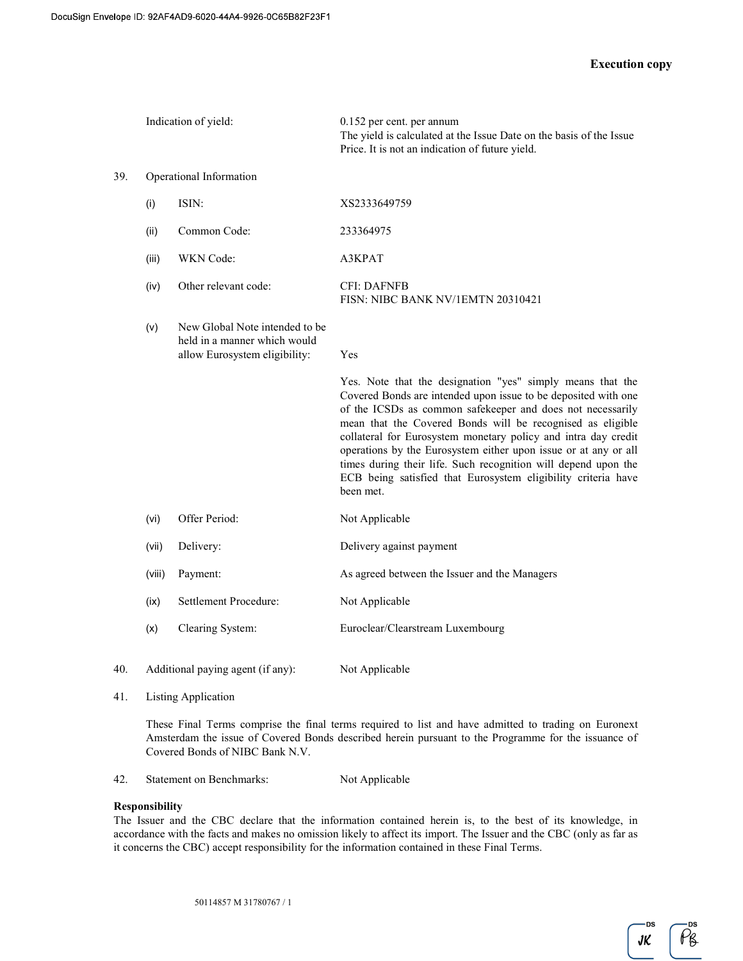|     | Indication of yield:    |                                                                                                 | $0.152$ per cent. per annum<br>The yield is calculated at the Issue Date on the basis of the Issue<br>Price. It is not an indication of future yield.                                                                                                                                                                                                                                                                                                                                                                                         |  |
|-----|-------------------------|-------------------------------------------------------------------------------------------------|-----------------------------------------------------------------------------------------------------------------------------------------------------------------------------------------------------------------------------------------------------------------------------------------------------------------------------------------------------------------------------------------------------------------------------------------------------------------------------------------------------------------------------------------------|--|
| 39. | Operational Information |                                                                                                 |                                                                                                                                                                                                                                                                                                                                                                                                                                                                                                                                               |  |
|     | (i)                     | ISIN:                                                                                           | XS2333649759                                                                                                                                                                                                                                                                                                                                                                                                                                                                                                                                  |  |
|     | (ii)                    | Common Code:                                                                                    | 233364975                                                                                                                                                                                                                                                                                                                                                                                                                                                                                                                                     |  |
|     | (iii)                   | WKN Code:                                                                                       | A3KPAT                                                                                                                                                                                                                                                                                                                                                                                                                                                                                                                                        |  |
|     | (iv)                    | Other relevant code:                                                                            | <b>CFI: DAFNFB</b><br>FISN: NIBC BANK NV/1EMTN 20310421                                                                                                                                                                                                                                                                                                                                                                                                                                                                                       |  |
|     | (v)                     | New Global Note intended to be<br>held in a manner which would<br>allow Eurosystem eligibility: | Yes                                                                                                                                                                                                                                                                                                                                                                                                                                                                                                                                           |  |
|     |                         |                                                                                                 | Yes. Note that the designation "yes" simply means that the<br>Covered Bonds are intended upon issue to be deposited with one<br>of the ICSDs as common safekeeper and does not necessarily<br>mean that the Covered Bonds will be recognised as eligible<br>collateral for Eurosystem monetary policy and intra day credit<br>operations by the Eurosystem either upon issue or at any or all<br>times during their life. Such recognition will depend upon the<br>ECB being satisfied that Eurosystem eligibility criteria have<br>been met. |  |
|     | (vi)                    | Offer Period:                                                                                   | Not Applicable                                                                                                                                                                                                                                                                                                                                                                                                                                                                                                                                |  |
|     | (vii)                   | Delivery:                                                                                       | Delivery against payment                                                                                                                                                                                                                                                                                                                                                                                                                                                                                                                      |  |
|     | (viii)                  | Payment:                                                                                        | As agreed between the Issuer and the Managers                                                                                                                                                                                                                                                                                                                                                                                                                                                                                                 |  |
|     | (ix)                    | Settlement Procedure:                                                                           | Not Applicable                                                                                                                                                                                                                                                                                                                                                                                                                                                                                                                                |  |
|     | (x)                     | Clearing System:                                                                                | Euroclear/Clearstream Luxembourg                                                                                                                                                                                                                                                                                                                                                                                                                                                                                                              |  |
| 40. |                         | Additional paying agent (if any):                                                               | Not Applicable                                                                                                                                                                                                                                                                                                                                                                                                                                                                                                                                |  |

41. Listing Application

These Final Terms comprise the final terms required to list and have admitted to trading on Euronext Amsterdam the issue of Covered Bonds described herein pursuant to the Programme for the issuance of Covered Bonds of NIBC Bank N.V.

42. Statement on Benchmarks: Not Applicable

#### Responsibility

The Issuer and the CBC declare that the information contained herein is, to the best of its knowledge, in accordance with the facts and makes no omission likely to affect its import. The Issuer and the CBC (only as far as it concerns the CBC) accept responsibility for the information contained in these Final Terms.

 $\tilde{\rho_{g}}$